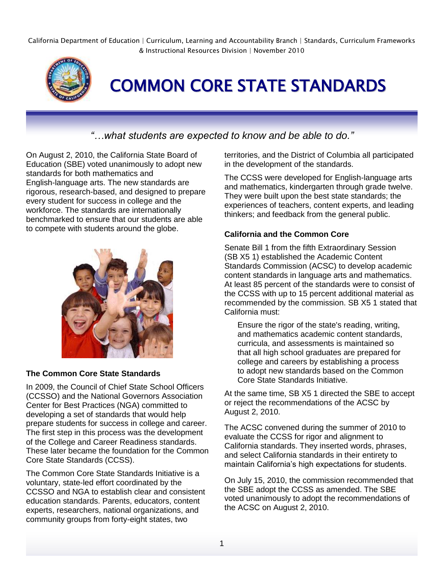California Department of Education | Curriculum, Learning and Accountability Branch | Standards, Curriculum Frameworks & Instructional Resources Division | November 2010



COMMON CORE STATE STANDARDS

# *"…what students are expected to know and be able to do."*

On August 2, 2010, the California State Board of Education (SBE) voted unanimously to adopt new standards for both mathematics and English-language arts. The new standards are rigorous, research-based, and designed to prepare every student for success in college and the workforce. The standards are internationally benchmarked to ensure that our students are able to compete with students around the globe.



## **The Common Core State Standards**

In 2009, the Council of Chief State School Officers (CCSSO) and the National Governors Association Center for Best Practices (NGA) committed to developing a set of standards that would help prepare students for success in college and career. The first step in this process was the development of the College and Career Readiness standards. These later became the foundation for the Common Core State Standards (CCSS).

The Common Core State Standards Initiative is a voluntary, state-led effort coordinated by the CCSSO and NGA to establish clear and consistent education standards. Parents, educators, content experts, researchers, national organizations, and community groups from forty-eight states, two

territories, and the District of Columbia all participated in the development of the standards.

The CCSS were developed for English-language arts and mathematics, kindergarten through grade twelve. They were built upon the best state standards; the experiences of teachers, content experts, and leading thinkers; and feedback from the general public.

#### **California and the Common Core**

Senate Bill 1 from the fifth Extraordinary Session (SB X5 1) established the Academic Content Standards Commission (ACSC) to develop academic content standards in language arts and mathematics. At least 85 percent of the standards were to consist of the CCSS with up to 15 percent additional material as recommended by the commission. SB X5 1 stated that California must:

Ensure the rigor of the state's reading, writing, and mathematics academic content standards, curricula, and assessments is maintained so that all high school graduates are prepared for college and careers by establishing a process to adopt new standards based on the Common Core State Standards Initiative.

At the same time, SB X5 1 directed the SBE to accept or reject the recommendations of the ACSC by August 2, 2010.

The ACSC convened during the summer of 2010 to evaluate the CCSS for rigor and alignment to California standards. They inserted words, phrases, and select California standards in their entirety to maintain California's high expectations for students.

On July 15, 2010, the commission recommended that the SBE adopt the CCSS as amended. The SBE voted unanimously to adopt the recommendations of the ACSC on August 2, 2010.